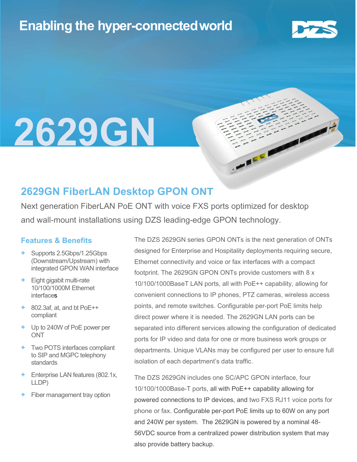## Enabling the hyper-connectedworld



## l 2629GN

### 2629GN FiberLAN Desktop GPON ONT

Next generation FiberLAN PoE ONT with voice FXS ports optimized for desktop and wall-mount installations using DZS leading-edge GPON technology.

#### Features & Benefits

- + Supports 2.5Gbps/1.25Gbps (Downstream/Upstream) with integrated GPON WAN interface
- + Eight gigabit multi-rate 10/100/1000M Ethernet **interfaces**
- + 802.3af, at, and bt PoE++ compliant
- + Up to 240W of PoE power per **ONT**
- + Two POTS interfaces compliant to SIP and MGPC telephony standards
- + Enterprise LAN features (802.1x, LLDP)
- Fiber management tray option

The DZS 2629GN series GPON ONTs is the next generation of ONTs designed for Enterprise and Hospitality deployments requiring secure, Ethernet connectivity and voice or fax interfaces with a compact footprint. The 2629GN GPON ONTs provide customers with 8 x 10/100/1000BaseT LAN ports, all with PoE++ capability, allowing for convenient connections to IP phones, PTZ cameras, wireless access points, and remote switches. Configurable per-port PoE limits help direct power where it is needed. The 2629GN LAN ports can be separated into different services allowing the configuration of dedicated ports for IP video and data for one or more business work groups or departments. Unique VLANs may be configured per user to ensure full isolation of each department's data traffic.

**CALL** 

The DZS 2629GN includes one SC/APC GPON interface, four 10/100/1000Base-T ports, all with PoE++ capability allowing for powered connections to IP devices, and two FXS RJ11 voice ports for phone or fax. Configurable per-port PoE limits up to 60W on any port and 240W per system. The 2629GN is powered by a nominal 48- 56VDC source from a centralized power distribution system that may also provide battery backup.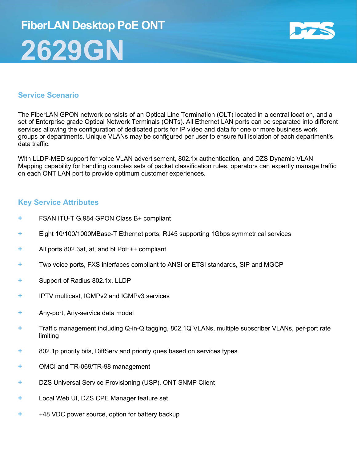# FiberLAN Desktop PoE ONT 2629GN



#### Service Scenario

The FiberLAN GPON network consists of an Optical Line Termination (OLT) located in a central location, and a set of Enterprise grade Optical Network Terminals (ONTs). All Ethernet LAN ports can be separated into different services allowing the configuration of dedicated ports for IP video and data for one or more business work groups or departments. Unique VLANs may be configured per user to ensure full isolation of each department's data traffic.

With LLDP-MED support for voice VLAN advertisement, 802.1x authentication, and DZS Dynamic VLAN Mapping capability for handling complex sets of packet classification rules, operators can expertly manage traffic on each ONT LAN port to provide optimum customer experiences.

#### Key Service Attributes

- FSAN ITU-T G.984 GPON Class B+ compliant
- + Eight 10/100/1000MBase-T Ethernet ports, RJ45 supporting 1Gbps symmetrical services
- + All ports 802.3af, at, and bt PoE++ compliant
- + Two voice ports, FXS interfaces compliant to ANSI or ETSI standards, SIP and MGCP
- + Support of Radius 802.1x, LLDP
- + IPTV multicast, IGMPv2 and IGMPv3 services
- + Any-port, Any-service data model
- + Traffic management including Q-in-Q tagging, 802.1Q VLANs, multiple subscriber VLANs, per-port rate limiting
- + 802.1p priority bits, DiffServ and priority ques based on services types.
- + OMCI and TR-069/TR-98 management
- + DZS Universal Service Provisioning (USP), ONT SNMP Client
- + Local Web UI, DZS CPE Manager feature set
- + +48 VDC power source, option for battery backup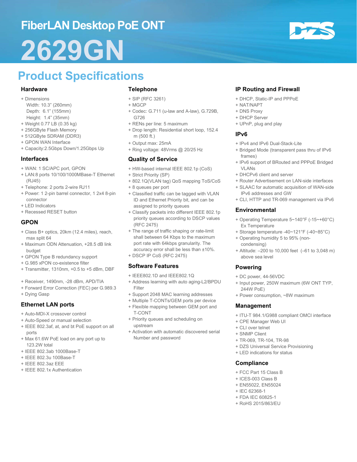## FiberLAN Desktop PoE ONT

# 2629GN

## Product Specifications

#### **Hardware**

- + Dimensions
- Width: 10.3" (260mm) Depth: 6.1" (155mm) Height: 1.4" (35mm)
- + Weight 0.77 LB (0.35 kg)
- + 256GByte Flash Memory
- + 512GByte SDRAM (DDR3)
- + GPON WAN Interface
- + Capacity:2.5Gbps Down/1.25Gbps Up

#### Interfaces

- + WAN: 1 SC/APC port, GPON
- + LAN:8 ports 10/100/1000MBase-T Ethernet (RJ45)
- + Telephone: 2 ports 2-wire RJ11
- + Power: 1 2-pin barrel connector, 1 2x4 8-pin connector
- + LED Indicators
- + Recessed RESET button

#### GPON

- + Class B+ optics, 20km (12.4 miles), reach, max split 64
- + Maximum ODN Attenuation, +28.5 dB link budget
- + GPON Type B redundancy support
- + G.985 xPON co-existence filter
- + Transmitter, 1310nm, +0.5 to +5 dBm, DBF
- + Receiver, 1490nm, -28 dBm, APD/TIA
- + Forward Error Correction (FEC) per G.989.3
- + Dying Gasp

#### Ethernet LAN ports

- + Auto-MDI-X crossover control
- + Auto-Speed or manual selection
- + IEEE 802.3af, at, and bt PoE support on all ports
- + Max 61.6W PoE load on any port up to 123.2W total
- + IEEE 802.3ab 1000Base-T
- + IEEE 802.3u 100Base-T
- + IEEE 802.3az EEE
- + IEEE 802.1x Authentication

#### Telephone

- + SIP (RFC 3261)
- + MGCP
- + Codec: G.711 (u-law and A-law), G.729B, G726
- + RENs per line: 5 maximum
- + Drop length: Residential short loop, 152.4 m (500 ft.)
- + Output max: 25mA
- + Ring voltage: 48Vrms @ 20/25 Hz

#### Quality of Service

- + HW-based internal IEEE 802.1p (CoS)
- + Strict Priority (SP)
- + 802.1Q(VLAN tag) QoS mapping ToS/CoS
- + 8 queues per port
- + Classified traffic can be tagged with VLAN ID and Ethernet Priority bit, and can be assigned to priority queues
- + Classify packets into different IEEE 802.1p priority queues according to DSCP values (RFC 2475)
- + The range of traffic shaping or rate-limit shall between 64 Kbps to the maximum port rate with 64kbps granularity. The accuracy error shall be less than ±10%.
- + DSCP IP CoS (RFC 2475)

#### Software Features

- + IEEE802.1D and IEEE802.1Q
- + Address learning with auto aging-L2/BPDU Filter
- + Support 2048 MAC learning addresses
- + Multiple T-CONTs/GEM ports per device + Flexible mapping between GEM port and
- T-CONT + Priority queues and scheduling on upstream
- + Activation with automatic discovered serial Number and password

#### IP Routing and Firewall

- + DHCP, Static-IP and PPPoE
- + NAT/NAPT
- + DNS Proxy
- + DHCP Server
- + UPnP, plug and play

#### IPv6

- + IPv4 and IPv6 Dual-Stack-Lite
- + Bridged Mode (transparent pass thru of IPv6 frames)
- + IPv6 support of BRouted and PPPoE Bridged VI AN<sub>S</sub>
- + DHCPv6 client and server
- + Router Advertisement on LAN-side interfaces + SLAAC for automatic acquisition of WAN-side
- IPv6 addresses and GW
- + CLI, HTTP and TR-069 management via IPv6

#### Environmental

- + Operating Temperature 5~140°F (-15~+60°C) Ex Temperature
- + Storage temperature -40~121°F (-40~85°C)
- + Operating humidity 5 to 95% (noncondensing)
- + Altitude: –200 to 10,000 feet (–61 to 3,048 m) above sea level

#### Powering

- + DC power, 44-56VDC
- + Input power, 250W maximum (6W ONT TYP, 244W PoE)
- + Power consumption, ~8W maximum

#### Management

- + ITU-T 984.1/G988 compliant OMCI interface
- + CPE Manager Web UI
- + CLI over telnet
- + SNMP Client
- + TR-069, TR-104, TR-98
- + DZS Universal Service Provisioning
- + LED indications for status

#### **Compliance**

- + FCC Part 15 Class B
- + ICES-003 Class B
- + EN55022, EN55024
- + IEC 62368-1
- + FDA IEC 60825-1
- + RoHS 2015/863/EU